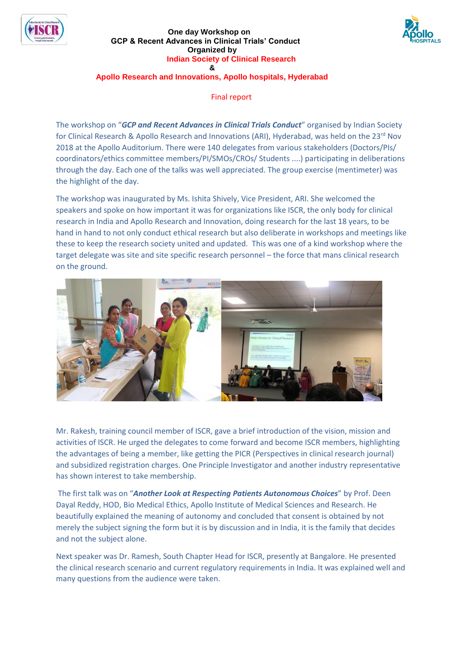

#### **One day Workshop on GCP & Recent Advances in Clinical Trials' Conduct Organized by Indian Society of Clinical Research &**



# **Apollo Research and Innovations, Apollo hospitals, Hyderabad**

Final report

The workshop on "*GCP and Recent Advances in Clinical Trials Conduct*" organised by Indian Society for Clinical Research & Apollo Research and Innovations (ARI), Hyderabad, was held on the 23rd Nov 2018 at the Apollo Auditorium. There were 140 delegates from various stakeholders (Doctors/PIs/ coordinators/ethics committee members/PI/SMOs/CROs/ Students ....) participating in deliberations through the day. Each one of the talks was well appreciated. The group exercise (mentimeter) was the highlight of the day.

The workshop was inaugurated by Ms. Ishita Shively, Vice President, ARI. She welcomed the speakers and spoke on how important it was for organizations like ISCR, the only body for clinical research in India and Apollo Research and Innovation, doing research for the last 18 years, to be hand in hand to not only conduct ethical research but also deliberate in workshops and meetings like these to keep the research society united and updated. This was one of a kind workshop where the target delegate was site and site specific research personnel – the force that mans clinical research on the ground.



Mr. Rakesh, training council member of ISCR, gave a brief introduction of the vision, mission and activities of ISCR. He urged the delegates to come forward and become ISCR members, highlighting the advantages of being a member, like getting the PICR (Perspectives in clinical research journal) and subsidized registration charges. One Principle Investigator and another industry representative has shown interest to take membership.

The first talk was on "*Another Look at Respecting Patients Autonomous Choices*" by Prof. Deen Dayal Reddy, HOD, Bio Medical Ethics, Apollo Institute of Medical Sciences and Research. He beautifully explained the meaning of autonomy and concluded that consent is obtained by not merely the subject signing the form but it is by discussion and in India, it is the family that decides and not the subject alone.

Next speaker was Dr. Ramesh, South Chapter Head for ISCR, presently at Bangalore. He presented the clinical research scenario and current regulatory requirements in India. It was explained well and many questions from the audience were taken.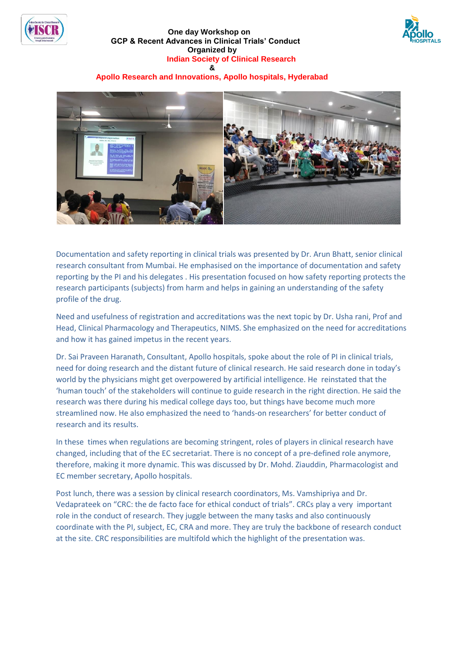

#### **One day Workshop on GCP & Recent Advances in Clinical Trials' Conduct Organized by Indian Society of Clinical Research &**



# **Apollo Research and Innovations, Apollo hospitals, Hyderabad**



Documentation and safety reporting in clinical trials was presented by Dr. Arun Bhatt, senior clinical research consultant from Mumbai. He emphasised on the importance of documentation and safety reporting by the PI and his delegates . His presentation focused on how safety reporting protects the research participants (subjects) from harm and helps in gaining an understanding of the safety profile of the drug.

Need and usefulness of registration and accreditations was the next topic by Dr. Usha rani, Prof and Head, Clinical Pharmacology and Therapeutics, NIMS. She emphasized on the need for accreditations and how it has gained impetus in the recent years.

Dr. Sai Praveen Haranath, Consultant, Apollo hospitals, spoke about the role of PI in clinical trials, need for doing research and the distant future of clinical research. He said research done in today's world by the physicians might get overpowered by artificial intelligence. He reinstated that the 'human touch' of the stakeholders will continue to guide research in the right direction. He said the research was there during his medical college days too, but things have become much more streamlined now. He also emphasized the need to 'hands-on researchers' for better conduct of research and its results.

In these times when regulations are becoming stringent, roles of players in clinical research have changed, including that of the EC secretariat. There is no concept of a pre-defined role anymore, therefore, making it more dynamic. This was discussed by Dr. Mohd. Ziauddin, Pharmacologist and EC member secretary, Apollo hospitals.

Post lunch, there was a session by clinical research coordinators, Ms. Vamshipriya and Dr. Vedaprateek on "CRC: the de facto face for ethical conduct of trials". CRCs play a very important role in the conduct of research. They juggle between the many tasks and also continuously coordinate with the PI, subject, EC, CRA and more. They are truly the backbone of research conduct at the site. CRC responsibilities are multifold which the highlight of the presentation was.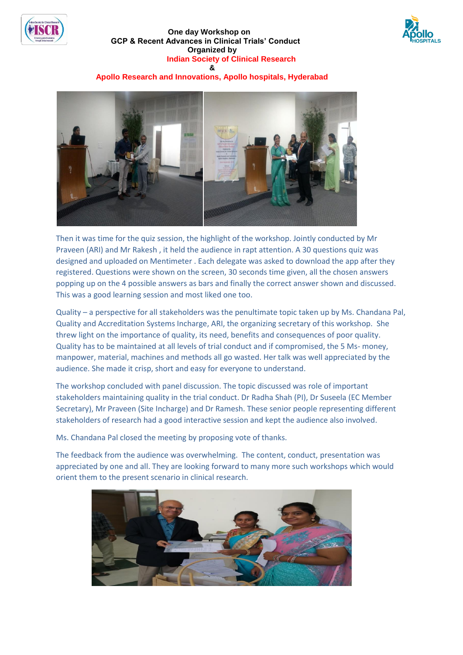





## **Apollo Research and Innovations, Apollo hospitals, Hyderabad**



Then it was time for the quiz session, the highlight of the workshop. Jointly conducted by Mr Praveen (ARI) and Mr Rakesh , it held the audience in rapt attention. A 30 questions quiz was designed and uploaded on Mentimeter . Each delegate was asked to download the app after they registered. Questions were shown on the screen, 30 seconds time given, all the chosen answers popping up on the 4 possible answers as bars and finally the correct answer shown and discussed. This was a good learning session and most liked one too.

Quality – a perspective for all stakeholders was the penultimate topic taken up by Ms. Chandana Pal, Quality and Accreditation Systems Incharge, ARI, the organizing secretary of this workshop. She threw light on the importance of quality, its need, benefits and consequences of poor quality. Quality has to be maintained at all levels of trial conduct and if compromised, the 5 Ms- money, manpower, material, machines and methods all go wasted. Her talk was well appreciated by the audience. She made it crisp, short and easy for everyone to understand.

The workshop concluded with panel discussion. The topic discussed was role of important stakeholders maintaining quality in the trial conduct. Dr Radha Shah (PI), Dr Suseela (EC Member Secretary), Mr Praveen (Site Incharge) and Dr Ramesh. These senior people representing different stakeholders of research had a good interactive session and kept the audience also involved.

Ms. Chandana Pal closed the meeting by proposing vote of thanks.

The feedback from the audience was overwhelming. The content, conduct, presentation was appreciated by one and all. They are looking forward to many more such workshops which would orient them to the present scenario in clinical research.